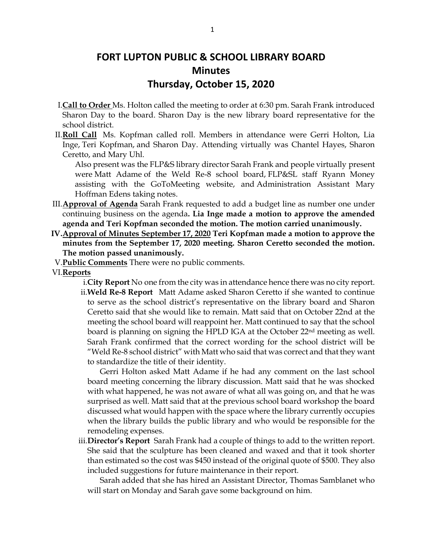# **FORT LUPTON PUBLIC & SCHOOL LIBRARY BOARD Minutes Thursday, October 15, 2020**

- I.**Call to Order** Ms. Holton called the meeting to order at 6:30 pm. Sarah Frank introduced Sharon Day to the board. Sharon Day is the new library board representative for the school district.
- II.**Roll Call** Ms. Kopfman called roll. Members in attendance were Gerri Holton, Lia Inge, Teri Kopfman, and Sharon Day. Attending virtually was Chantel Hayes, Sharon Ceretto, and Mary Uhl.

Also present was the FLP&S library director Sarah Frank and people virtually present were Matt Adame of the Weld Re-8 school board, FLP&SL staff Ryann Money assisting with the GoToMeeting website, and Administration Assistant Mary Hoffman Edens taking notes.

- III.**Approval of Agenda** Sarah Frank requested to add a budget line as number one under continuing business on the agenda**. Lia Inge made a motion to approve the amended agenda and Teri Kopfman seconded the motion. The motion carried unanimously.**
- **IV.Approval of Minutes September 17, 2020 Teri Kopfman made a motion to approve the minutes from the September 17, 2020 meeting. Sharon Ceretto seconded the motion. The motion passed unanimously.**
- V.**Public Comments** There were no public comments.
- VI.**Reports**
	- i.**City Report** No one from the city was in attendance hence there was no city report. ii.**Weld Re-8 Report** Matt Adame asked Sharon Ceretto if she wanted to continue to serve as the school district's representative on the library board and Sharon Ceretto said that she would like to remain. Matt said that on October 22nd at the meeting the school board will reappoint her. Matt continued to say that the school board is planning on signing the HPLD IGA at the October 22nd meeting as well. Sarah Frank confirmed that the correct wording for the school district will be "Weld Re-8 school district" with Matt who said that was correct and that they want to standardize the title of their identity.

Gerri Holton asked Matt Adame if he had any comment on the last school board meeting concerning the library discussion. Matt said that he was shocked with what happened, he was not aware of what all was going on, and that he was surprised as well. Matt said that at the previous school board workshop the board discussed what would happen with the space where the library currently occupies when the library builds the public library and who would be responsible for the remodeling expenses.

iii.**Director's Report** Sarah Frank had a couple of things to add to the written report. She said that the sculpture has been cleaned and waxed and that it took shorter than estimated so the cost was \$450 instead of the original quote of \$500. They also included suggestions for future maintenance in their report.

Sarah added that she has hired an Assistant Director, Thomas Samblanet who will start on Monday and Sarah gave some background on him.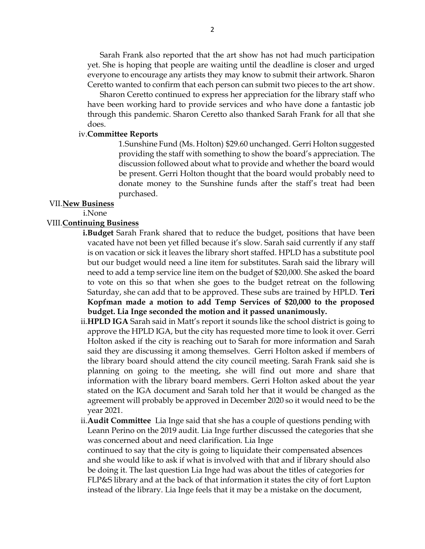Sarah Frank also reported that the art show has not had much participation yet. She is hoping that people are waiting until the deadline is closer and urged everyone to encourage any artists they may know to submit their artwork. Sharon Ceretto wanted to confirm that each person can submit two pieces to the art show.

Sharon Ceretto continued to express her appreciation for the library staff who have been working hard to provide services and who have done a fantastic job through this pandemic. Sharon Ceretto also thanked Sarah Frank for all that she does.

## iv.**Committee Reports**

1.Sunshine Fund (Ms. Holton) \$29.60 unchanged. Gerri Holton suggested providing the staff with something to show the board's appreciation. The discussion followed about what to provide and whether the board would be present. Gerri Holton thought that the board would probably need to donate money to the Sunshine funds after the staff's treat had been purchased.

# VII.**New Business**

#### i.None

## VIII.**Continuing Business**

- **i.Budget** Sarah Frank shared that to reduce the budget, positions that have been vacated have not been yet filled because it's slow. Sarah said currently if any staff is on vacation or sick it leaves the library short staffed. HPLD has a substitute pool but our budget would need a line item for substitutes. Sarah said the library will need to add a temp service line item on the budget of \$20,000. She asked the board to vote on this so that when she goes to the budget retreat on the following Saturday, she can add that to be approved. These subs are trained by HPLD. **Teri Kopfman made a motion to add Temp Services of \$20,000 to the proposed budget. Lia Inge seconded the motion and it passed unanimously.**
- ii.**HPLD IGA** Sarah said in Matt's report it sounds like the school district is going to approve the HPLD IGA, but the city has requested more time to look it over. Gerri Holton asked if the city is reaching out to Sarah for more information and Sarah said they are discussing it among themselves. Gerri Holton asked if members of the library board should attend the city council meeting. Sarah Frank said she is planning on going to the meeting, she will find out more and share that information with the library board members. Gerri Holton asked about the year stated on the IGA document and Sarah told her that it would be changed as the agreement will probably be approved in December 2020 so it would need to be the year 2021.

ii.**Audit Committee** Lia Inge said that she has a couple of questions pending with Leann Perino on the 2019 audit. Lia Inge further discussed the categories that she was concerned about and need clarification. Lia Inge continued to say that the city is going to liquidate their compensated absences

and she would like to ask if what is involved with that and if library should also be doing it. The last question Lia Inge had was about the titles of categories for FLP&S library and at the back of that information it states the city of fort Lupton instead of the library. Lia Inge feels that it may be a mistake on the document,